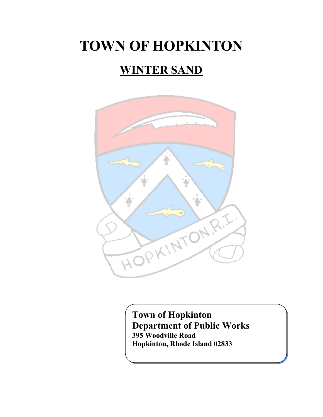# **TOWN OF HOPKINTON**

# **WINTER SAND**



l<br>- **Hopkinton, Rhode Island 02833Town of Hopkinton Department of Public Works 395 Woodville Road**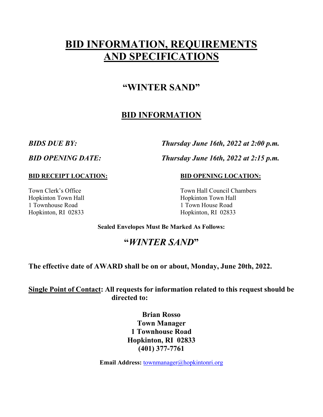# **BID INFORMATION, REQUIREMENTS AND SPECIFICATIONS**

# **"WINTER SAND"**

# **BID INFORMATION**

*BIDS DUE BY: Thursday June 16th, 2022 at 2:00 p.m.*

*BID OPENING DATE: Thursday June 16th, 2022 at 2:15 p.m.*

**BID RECEIPT LOCATION: BID OPENING LOCATION:**

Hopkinton Town Hall **Hopkinton Town Hall** 1 Townhouse Road 1 Town House Road Hopkinton, RI 02833 Hopkinton, RI 02833

Town Clerk's Office Town Hall Council Chambers

**Sealed Envelopes Must Be Marked As Follows:**

# **"***WINTER SAND***"**

**The effective date of AWARD shall be on or about, Monday, June 20th, 2022.** 

**Single Point of Contact: All requests for information related to this request should be directed to:**

> **Brian Rosso Town Manager 1 Townhouse Road Hopkinton, RI 02833 (401) 377-7761**

**Email Address: [townmanager@hopkintonri.org](mailto:townmanager@hopkintonri.org)**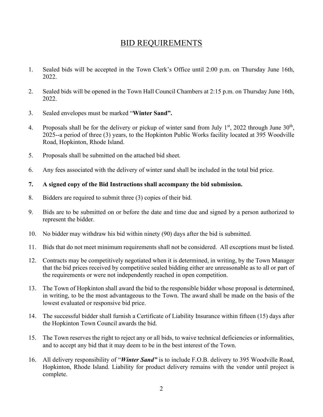# BID REQUIREMENTS

- 1. Sealed bids will be accepted in the Town Clerk's Office until 2:00 p.m. on Thursday June 16th, 2022.
- 2. Sealed bids will be opened in the Town Hall Council Chambers at 2:15 p.m. on Thursday June 16th, 2022.
- 3. Sealed envelopes must be marked "**Winter Sand".**
- 4. Proposals shall be for the delivery or pickup of winter sand from July  $1<sup>st</sup>$ , 2022 through June  $30<sup>th</sup>$ , 2025--a period of three (3) years, to the Hopkinton Public Works facility located at 395 Woodville Road, Hopkinton, Rhode Island.
- 5. Proposals shall be submitted on the attached bid sheet.
- 6. Any fees associated with the delivery of winter sand shall be included in the total bid price.
- **7. A signed copy of the Bid Instructions shall accompany the bid submission.**
- 8. Bidders are required to submit three (3) copies of their bid.
- 9. Bids are to be submitted on or before the date and time due and signed by a person authorized to represent the bidder.
- 10. No bidder may withdraw his bid within ninety (90) days after the bid is submitted.
- 11. Bids that do not meet minimum requirements shall not be considered. All exceptions must be listed.
- 12. Contracts may be competitively negotiated when it is determined, in writing, by the Town Manager that the bid prices received by competitive sealed bidding either are unreasonable as to all or part of the requirements or were not independently reached in open competition.
- 13. The Town of Hopkinton shall award the bid to the responsible bidder whose proposal is determined, in writing, to be the most advantageous to the Town. The award shall be made on the basis of the lowest evaluated or responsive bid price.
- 14. The successful bidder shall furnish a Certificate of Liability Insurance within fifteen (15) days after the Hopkinton Town Council awards the bid.
- 15. The Town reserves the right to reject any or all bids, to waive technical deficiencies or informalities, and to accept any bid that it may deem to be in the best interest of the Town.
- 16. All delivery responsibility of "*Winter Sand"* is to include F.O.B. delivery to 395 Woodville Road, Hopkinton, Rhode Island. Liability for product delivery remains with the vendor until project is complete.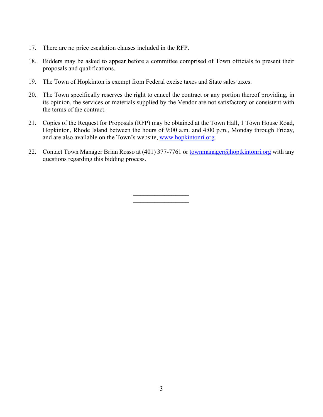- 17. There are no price escalation clauses included in the RFP.
- 18. Bidders may be asked to appear before a committee comprised of Town officials to present their proposals and qualifications.
- 19. The Town of Hopkinton is exempt from Federal excise taxes and State sales taxes.
- 20. The Town specifically reserves the right to cancel the contract or any portion thereof providing, in its opinion, the services or materials supplied by the Vendor are not satisfactory or consistent with the terms of the contract.
- 21. Copies of the Request for Proposals (RFP) may be obtained at the Town Hall, 1 Town House Road, Hopkinton, Rhode Island between the hours of 9:00 a.m. and 4:00 p.m., Monday through Friday, and are also available on the Town's website, [www.hopkintonri.org.](http://www.hopkintonri.org/)
- 22. Contact Town Manager Brian Rosso at (401) 377-7761 or [townmanager@hoptkintonri.org](mailto:townmanager@hoptkintonri.org) with any questions regarding this bidding process.

 $\overline{\phantom{a}}$  , where  $\overline{\phantom{a}}$  $\overline{\phantom{a}}$  , where  $\overline{\phantom{a}}$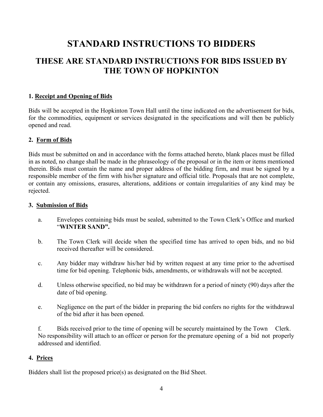# **STANDARD INSTRUCTIONS TO BIDDERS**

# **THESE ARE STANDARD INSTRUCTIONS FOR BIDS ISSUED BY THE TOWN OF HOPKINTON**

#### **1. Receipt and Opening of Bids**

Bids will be accepted in the Hopkinton Town Hall until the time indicated on the advertisement for bids, for the commodities, equipment or services designated in the specifications and will then be publicly opened and read.

#### **2. Form of Bids**

Bids must be submitted on and in accordance with the forms attached hereto, blank places must be filled in as noted, no change shall be made in the phraseology of the proposal or in the item or items mentioned therein. Bids must contain the name and proper address of the bidding firm, and must be signed by a responsible member of the firm with his/her signature and official title. Proposals that are not complete, or contain any omissions, erasures, alterations, additions or contain irregularities of any kind may be rejected.

#### **3. Submission of Bids**

- a. Envelopes containing bids must be sealed, submitted to the Town Clerk's Office and marked "**WINTER SAND".**
- b. The Town Clerk will decide when the specified time has arrived to open bids, and no bid received thereafter will be considered.
- c. Any bidder may withdraw his/her bid by written request at any time prior to the advertised time for bid opening. Telephonic bids, amendments, or withdrawals will not be accepted.
- d. Unless otherwise specified, no bid may be withdrawn for a period of ninety (90) days after the date of bid opening.
- e. Negligence on the part of the bidder in preparing the bid confers no rights for the withdrawal of the bid after it has been opened.

f. Bids received prior to the time of opening will be securely maintained by the Town Clerk. No responsibility will attach to an officer or person for the premature opening of a bid not properly addressed and identified.

#### **4. Prices**

Bidders shall list the proposed price(s) as designated on the Bid Sheet.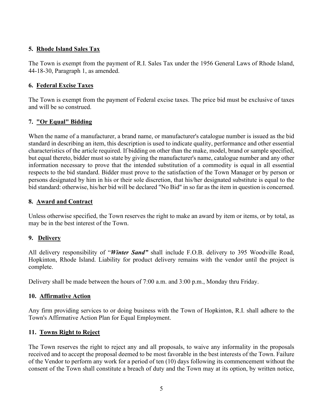#### **5. Rhode Island Sales Tax**

The Town is exempt from the payment of R.I. Sales Tax under the 1956 General Laws of Rhode Island, 44-18-30, Paragraph 1, as amended.

#### **6. Federal Excise Taxes**

The Town is exempt from the payment of Federal excise taxes. The price bid must be exclusive of taxes and will be so construed.

#### **7. "Or Equal" Bidding**

When the name of a manufacturer, a brand name, or manufacturer's catalogue number is issued as the bid standard in describing an item, this description is used to indicate quality, performance and other essential characteristics of the article required. If bidding on other than the make, model, brand or sample specified, but equal thereto, bidder must so state by giving the manufacturer's name, catalogue number and any other information necessary to prove that the intended substitution of a commodity is equal in all essential respects to the bid standard. Bidder must prove to the satisfaction of the Town Manager or by person or persons designated by him in his or their sole discretion, that his/her designated substitute is equal to the bid standard: otherwise, his/her bid will be declared "No Bid" in so far as the item in question is concerned.

#### **8. Award and Contract**

Unless otherwise specified, the Town reserves the right to make an award by item or items, or by total, as may be in the best interest of the Town.

#### **9. Delivery**

All delivery responsibility of "*Winter Sand"* shall include F.O.B. delivery to 395 Woodville Road, Hopkinton, Rhode Island. Liability for product delivery remains with the vendor until the project is complete.

Delivery shall be made between the hours of 7:00 a.m. and 3:00 p.m., Monday thru Friday.

#### **10. Affirmative Action**

Any firm providing services to or doing business with the Town of Hopkinton, R.I. shall adhere to the Town's Affirmative Action Plan for Equal Employment.

#### **11. Towns Right to Reject**

The Town reserves the right to reject any and all proposals, to waive any informality in the proposals received and to accept the proposal deemed to be most favorable in the best interests of the Town. Failure of the Vendor to perform any work for a period of ten (10) days following its commencement without the consent of the Town shall constitute a breach of duty and the Town may at its option, by written notice,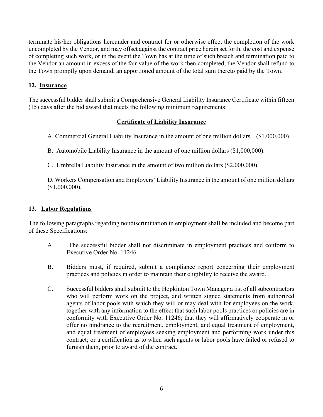terminate his/her obligations hereunder and contract for or otherwise effect the completion of the work uncompleted by the Vendor, and may offset against the contract price herein set forth, the cost and expense of completing such work, or in the event the Town has at the time of such breach and termination paid to the Vendor an amount in excess of the fair value of the work then completed, the Vendor shall refund to the Town promptly upon demand, an apportioned amount of the total sum thereto paid by the Town.

#### **12. Insurance**

The successful bidder shall submit a Comprehensive General Liability Insurance Certificate within fifteen (15) days after the bid award that meets the following minimum requirements:

#### **Certificate of Liability Insurance**

A. Commercial General Liability Insurance in the amount of one million dollars (\$1,000,000).

B. Automobile Liability Insurance in the amount of one million dollars (\$1,000,000).

C. Umbrella Liability Insurance in the amount of two million dollars (\$2,000,000).

D. Workers Compensation and Employers' Liability Insurance in the amount of one million dollars (\$1,000,000).

#### **13. Labor Regulations**

The following paragraphs regarding nondiscrimination in employment shall be included and become part of these Specifications:

- A. The successful bidder shall not discriminate in employment practices and conform to Executive Order No. 11246.
- B. Bidders must, if required, submit a compliance report concerning their employment practices and policies in order to maintain their eligibility to receive the award.
- C. Successful bidders shall submit to the Hopkinton Town Manager a list of all subcontractors who will perform work on the project, and written signed statements from authorized agents of labor pools with which they will or may deal with for employees on the work, together with any information to the effect that such labor pools practices or policies are in conformity with Executive Order No. 11246; that they will affirmatively cooperate in or offer no hindrance to the recruitment, employment, and equal treatment of employment, and equal treatment of employees seeking employment and performing work under this contract; or a certification as to when such agents or labor pools have failed or refused to furnish them, prior to award of the contract.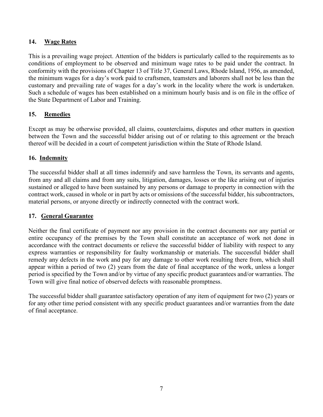#### **14. Wage Rates**

This is a prevailing wage project. Attention of the bidders is particularly called to the requirements as to conditions of employment to be observed and minimum wage rates to be paid under the contract. In conformity with the provisions of Chapter 13 of Title 37, General Laws, Rhode Island, 1956, as amended, the minimum wages for a day's work paid to craftsmen, teamsters and laborers shall not be less than the customary and prevailing rate of wages for a day's work in the locality where the work is undertaken. Such a schedule of wages has been established on a minimum hourly basis and is on file in the office of the State Department of Labor and Training.

#### **15. Remedies**

Except as may be otherwise provided, all claims, counterclaims, disputes and other matters in question between the Town and the successful bidder arising out of or relating to this agreement or the breach thereof will be decided in a court of competent jurisdiction within the State of Rhode Island.

#### **16. Indemnity**

The successful bidder shall at all times indemnify and save harmless the Town, its servants and agents, from any and all claims and from any suits, litigation, damages, losses or the like arising out of injuries sustained or alleged to have been sustained by any persons or damage to property in connection with the contract work, caused in whole or in part by acts or omissions of the successful bidder, his subcontractors, material persons, or anyone directly or indirectly connected with the contract work.

#### **17. General Guarantee**

Neither the final certificate of payment nor any provision in the contract documents nor any partial or entire occupancy of the premises by the Town shall constitute an acceptance of work not done in accordance with the contract documents or relieve the successful bidder of liability with respect to any express warranties or responsibility for faulty workmanship or materials. The successful bidder shall remedy any defects in the work and pay for any damage to other work resulting there from, which shall appear within a period of two (2) years from the date of final acceptance of the work, unless a longer period is specified by the Town and/or by virtue of any specific product guarantees and/or warranties. The Town will give final notice of observed defects with reasonable promptness.

The successful bidder shall guarantee satisfactory operation of any item of equipment for two (2) years or for any other time period consistent with any specific product guarantees and/or warranties from the date of final acceptance.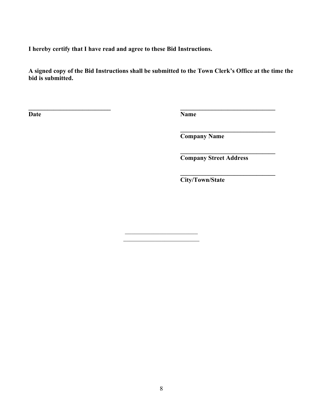**I hereby certify that I have read and agree to these Bid Instructions.**

**A signed copy of the Bid Instructions shall be submitted to the Town Clerk's Office at the time the bid is submitted.**

 $\mathcal{L}_\text{max}$  , where  $\mathcal{L}_\text{max}$  and  $\mathcal{L}_\text{max}$ 

**\_\_\_\_\_\_\_\_\_\_\_\_\_\_\_\_\_\_\_\_\_\_\_\_\_\_ \_\_\_\_\_\_\_\_\_\_\_\_\_\_\_\_\_\_\_\_\_\_\_\_\_\_\_\_\_\_**

**Date Name**

**Company Name**

**\_\_\_\_\_\_\_\_\_\_\_\_\_\_\_\_\_\_\_\_\_\_\_\_\_\_\_\_\_\_ Company Street Address**

**\_\_\_\_\_\_\_\_\_\_\_\_\_\_\_\_\_\_\_\_\_\_\_\_\_\_\_\_\_\_**

**\_\_\_\_\_\_\_\_\_\_\_\_\_\_\_\_\_\_\_\_\_\_\_\_\_\_\_\_\_\_ City/Town/State**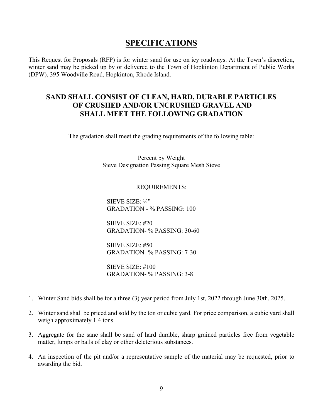## **SPECIFICATIONS**

This Request for Proposals (RFP) is for winter sand for use on icy roadways. At the Town's discretion, winter sand may be picked up by or delivered to the Town of Hopkinton Department of Public Works (DPW), 395 Woodville Road, Hopkinton, Rhode Island.

### **SAND SHALL CONSIST OF CLEAN, HARD, DURABLE PARTICLES OF CRUSHED AND/OR UNCRUSHED GRAVEL AND SHALL MEET THE FOLLOWING GRADATION**

The gradation shall meet the grading requirements of the following table:

Percent by Weight Sieve Designation Passing Square Mesh Sieve

#### REQUIREMENTS:

SIEVE SIZE: ¼" GRADATION - % PASSING: 100

SIEVE SIZE: #20 GRADATION- % PASSING: 30-60

SIEVE SIZE: #50 GRADATION- % PASSING: 7-30

SIEVE SIZE: #100 GRADATION- % PASSING: 3-8

- 1. Winter Sand bids shall be for a three (3) year period from July 1st, 2022 through June 30th, 2025.
- 2. Winter sand shall be priced and sold by the ton or cubic yard. For price comparison, a cubic yard shall weigh approximately 1.4 tons.
- 3. Aggregate for the sane shall be sand of hard durable, sharp grained particles free from vegetable matter, lumps or balls of clay or other deleterious substances.
- 4. An inspection of the pit and/or a representative sample of the material may be requested, prior to awarding the bid.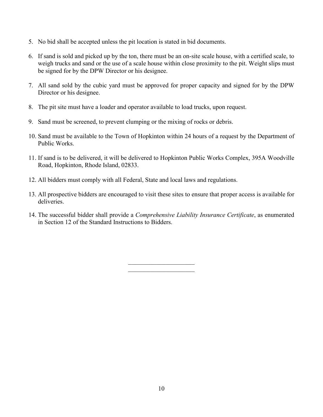- 5. No bid shall be accepted unless the pit location is stated in bid documents.
- 6. If sand is sold and picked up by the ton, there must be an on-site scale house, with a certified scale, to weigh trucks and sand or the use of a scale house within close proximity to the pit. Weight slips must be signed for by the DPW Director or his designee.
- 7. All sand sold by the cubic yard must be approved for proper capacity and signed for by the DPW Director or his designee.
- 8. The pit site must have a loader and operator available to load trucks, upon request.
- 9. Sand must be screened, to prevent clumping or the mixing of rocks or debris.
- 10. Sand must be available to the Town of Hopkinton within 24 hours of a request by the Department of Public Works.
- 11. If sand is to be delivered, it will be delivered to Hopkinton Public Works Complex, 395A Woodville Road, Hopkinton, Rhode Island, 02833.
- 12. All bidders must comply with all Federal, State and local laws and regulations.
- 13. All prospective bidders are encouraged to visit these sites to ensure that proper access is available for deliveries.
- 14. The successful bidder shall provide a *Comprehensive Liability Insurance Certificate*, as enumerated in Section 12 of the Standard Instructions to Bidders.

 $\overline{\phantom{a}}$  . The set of the set of the set of the set of the set of the set of the set of the set of the set of the set of the set of the set of the set of the set of the set of the set of the set of the set of the set o